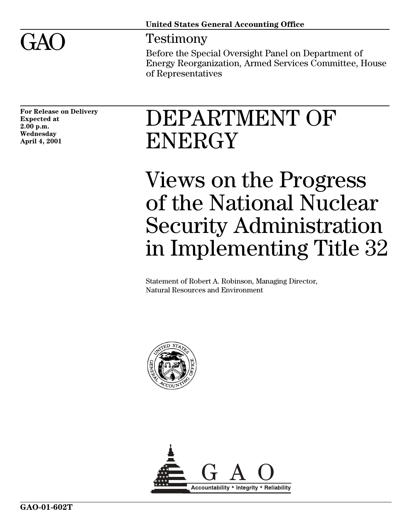

# $GAO$  Testimony

Before the Special Oversight Panel on Department of Energy Reorganization, Armed Services Committee, House of Representatives

**For Release on Delivery Expected at 2.00 p.m. Wednesday April 4, 2001**

# DEPARTMENT OF ENERGY

Views on the Progress of the National Nuclear Security Administration in Implementing Title 32

Statement of Robert A. Robinson, Managing Director, Natural Resources and Environment



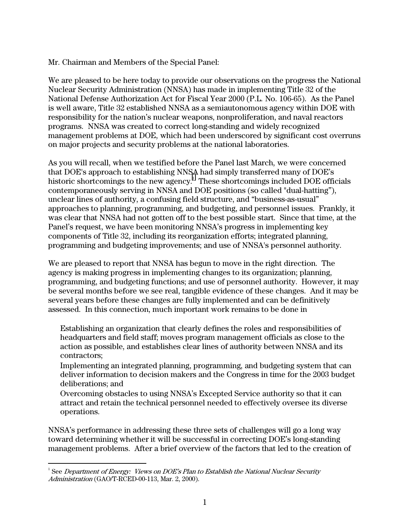### Mr. Chairman and Members of the Special Panel:

We are pleased to be here today to provide our observations on the progress the National Nuclear Security Administration (NNSA) has made in implementing Title 32 of the National Defense Authorization Act for Fiscal Year 2000 (P.L. No. 106-65). As the Panel is well aware, Title 32 established NNSA as a semiautonomous agency within DOE with responsibility for the nation's nuclear weapons, nonproliferation, and naval reactors programs. NNSA was created to correct long-standing and widely recognized management problems at DOE, which had been underscored by significant cost overruns on major projects and security problems at the national laboratories.

As you will recall, when we testified before the Panel last March, we were concerned that DOE's approach to establishing NNSA had simply transferred many of DOE's historic shortcomings to the new agency. $^{\rm 1}$  These shortcomings included DOE officials contemporaneously serving in NNSA and DOE positions (so called "dual-hatting"), unclear lines of authority, a confusing field structure, and "business-as-usual" approaches to planning, programming, and budgeting, and personnel issues. Frankly, it was clear that NNSA had not gotten off to the best possible start. Since that time, at the Panel's request, we have been monitoring NNSA's progress in implementing key components of Title 32, including its reorganization efforts; integrated planning, programming and budgeting improvements; and use of NNSA's personnel authority.

We are pleased to report that NNSA has begun to move in the right direction. The agency is making progress in implementing changes to its organization; planning, programming, and budgeting functions; and use of personnel authority. However, it may be several months before we see real, tangible evidence of these changes. And it may be several years before these changes are fully implemented and can be definitively assessed. In this connection, much important work remains to be done in

Establishing an organization that clearly defines the roles and responsibilities of headquarters and field staff; moves program management officials as close to the action as possible, and establishes clear lines of authority between NNSA and its contractors;

Implementing an integrated planning, programming, and budgeting system that can deliver information to decision makers and the Congress in time for the 2003 budget deliberations; and

Overcoming obstacles to using NNSA's Excepted Service authority so that it can attract and retain the technical personnel needed to effectively oversee its diverse operations.

NNSA's performance in addressing these three sets of challenges will go a long way toward determining whether it will be successful in correcting DOE's long-standing management problems. After a brief overview of the factors that led to the creation of

 $\frac{1}{1}$  $^1$  See Department of Energy: Views on DOE's Plan to Establish the National Nuclear Security Administration (GAO/T-RCED-00-113, Mar. 2, 2000).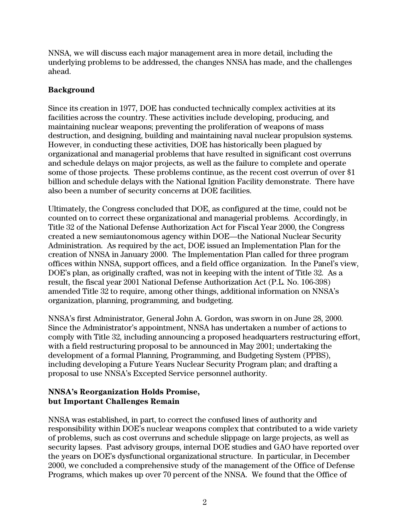NNSA, we will discuss each major management area in more detail, including the underlying problems to be addressed, the changes NNSA has made, and the challenges ahead.

# **Background**

Since its creation in 1977, DOE has conducted technically complex activities at its facilities across the country. These activities include developing, producing, and maintaining nuclear weapons; preventing the proliferation of weapons of mass destruction, and designing, building and maintaining naval nuclear propulsion systems. However, in conducting these activities, DOE has historically been plagued by organizational and managerial problems that have resulted in significant cost overruns and schedule delays on major projects, as well as the failure to complete and operate some of those projects. These problems continue, as the recent cost overrun of over \$1 billion and schedule delays with the National Ignition Facility demonstrate. There have also been a number of security concerns at DOE facilities.

Ultimately, the Congress concluded that DOE, as configured at the time, could not be counted on to correct these organizational and managerial problems. Accordingly, in Title 32 of the National Defense Authorization Act for Fiscal Year 2000, the Congress created a new semiautonomous agency within DOE—the National Nuclear Security Administration. As required by the act, DOE issued an Implementation Plan for the creation of NNSA in January 2000. The Implementation Plan called for three program offices within NNSA, support offices, and a field office organization. In the Panel's view, DOE's plan, as originally crafted, was not in keeping with the intent of Title 32. As a result, the fiscal year 2001 National Defense Authorization Act (P.L. No. 106-398) amended Title 32 to require, among other things, additional information on NNSA's organization, planning, programming, and budgeting.

NNSA's first Administrator, General John A. Gordon, was sworn in on June 28, 2000. Since the Administrator's appointment, NNSA has undertaken a number of actions to comply with Title 32, including announcing a proposed headquarters restructuring effort, with a field restructuring proposal to be announced in May 2001; undertaking the development of a formal Planning, Programming, and Budgeting System (PPBS), including developing a Future Years Nuclear Security Program plan; and drafting a proposal to use NNSA's Excepted Service personnel authority.

### **NNSA's Reorganization Holds Promise, but Important Challenges Remain**

NNSA was established, in part, to correct the confused lines of authority and responsibility within DOE's nuclear weapons complex that contributed to a wide variety of problems, such as cost overruns and schedule slippage on large projects, as well as security lapses. Past advisory groups, internal DOE studies and GAO have reported over the years on DOE's dysfunctional organizational structure. In particular, in December 2000, we concluded a comprehensive study of the management of the Office of Defense Programs, which makes up over 70 percent of the NNSA. We found that the Office of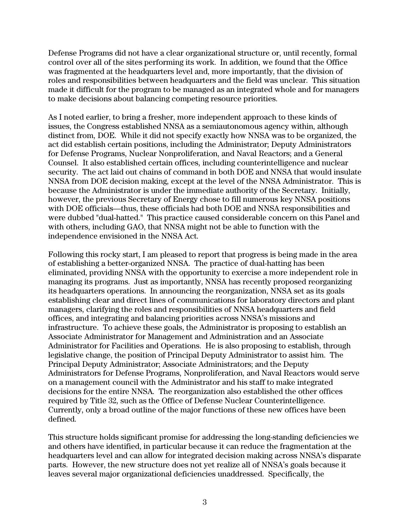Defense Programs did not have a clear organizational structure or, until recently, formal control over all of the sites performing its work. In addition, we found that the Office was fragmented at the headquarters level and, more importantly, that the division of roles and responsibilities between headquarters and the field was unclear. This situation made it difficult for the program to be managed as an integrated whole and for managers to make decisions about balancing competing resource priorities.

As I noted earlier, to bring a fresher, more independent approach to these kinds of issues, the Congress established NNSA as a semiautonomous agency within, although distinct from, DOE. While it did not specify exactly how NNSA was to be organized, the act did establish certain positions, including the Administrator; Deputy Administrators for Defense Programs, Nuclear Nonproliferation, and Naval Reactors; and a General Counsel. It also established certain offices, including counterintelligence and nuclear security. The act laid out chains of command in both DOE and NNSA that would insulate NNSA from DOE decision making, except at the level of the NNSA Administrator. This is because the Administrator is under the immediate authority of the Secretary. Initially, however, the previous Secretary of Energy chose to fill numerous key NNSA positions with DOE officials—thus, these officials had both DOE and NNSA responsibilities and were dubbed "dual-hatted." This practice caused considerable concern on this Panel and with others, including GAO, that NNSA might not be able to function with the independence envisioned in the NNSA Act.

Following this rocky start, I am pleased to report that progress is being made in the area of establishing a better-organized NNSA. The practice of dual-hatting has been eliminated, providing NNSA with the opportunity to exercise a more independent role in managing its programs. Just as importantly, NNSA has recently proposed reorganizing its headquarters operations. In announcing the reorganization, NNSA set as its goals establishing clear and direct lines of communications for laboratory directors and plant managers, clarifying the roles and responsibilities of NNSA headquarters and field offices, and integrating and balancing priorities across NNSA's missions and infrastructure. To achieve these goals, the Administrator is proposing to establish an Associate Administrator for Management and Administration and an Associate Administrator for Facilities and Operations. He is also proposing to establish, through legislative change, the position of Principal Deputy Administrator to assist him. The Principal Deputy Administrator; Associate Administrators; and the Deputy Administrators for Defense Programs, Nonproliferation, and Naval Reactors would serve on a management council with the Administrator and his staff to make integrated decisions for the entire NNSA. The reorganization also established the other offices required by Title 32, such as the Office of Defense Nuclear Counterintelligence. Currently, only a broad outline of the major functions of these new offices have been defined.

This structure holds significant promise for addressing the long-standing deficiencies we and others have identified, in particular because it can reduce the fragmentation at the headquarters level and can allow for integrated decision making across NNSA's disparate parts. However, the new structure does not yet realize all of NNSA's goals because it leaves several major organizational deficiencies unaddressed. Specifically, the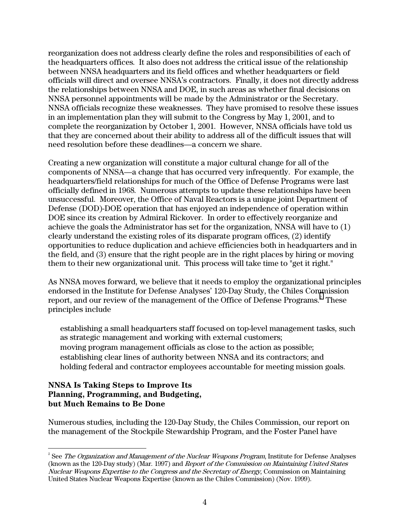reorganization does not address clearly define the roles and responsibilities of each of the headquarters offices. It also does not address the critical issue of the relationship between NNSA headquarters and its field offices and whether headquarters or field officials will direct and oversee NNSA's contractors. Finally, it does not directly address the relationships between NNSA and DOE, in such areas as whether final decisions on NNSA personnel appointments will be made by the Administrator or the Secretary. NNSA officials recognize these weaknesses. They have promised to resolve these issues in an implementation plan they will submit to the Congress by May 1, 2001, and to complete the reorganization by October 1, 2001. However, NNSA officials have told us that they are concerned about their ability to address all of the difficult issues that will need resolution before these deadlines—a concern we share.

Creating a new organization will constitute a major cultural change for all of the components of NNSA—a change that has occurred very infrequently. For example, the headquarters/field relationships for much of the Office of Defense Programs were last officially defined in 1968. Numerous attempts to update these relationships have been unsuccessful. Moreover, the Office of Naval Reactors is a unique joint Department of Defense (DOD)-DOE operation that has enjoyed an independence of operation within DOE since its creation by Admiral Rickover. In order to effectively reorganize and achieve the goals the Administrator has set for the organization, NNSA will have to (1) clearly understand the existing roles of its disparate program offices, (2) identify opportunities to reduce duplication and achieve efficiencies both in headquarters and in the field, and (3) ensure that the right people are in the right places by hiring or moving them to their new organizational unit. This process will take time to "get it right."

As NNSA moves forward, we believe that it needs to employ the organizational principles endorsed in the Institute for Defense Analyses' 120-Day Study, the Chiles Commission report, and our review of the management of the Office of Defense Programs. $^{\text{2}}$  These principles include

establishing a small headquarters staff focused on top-level management tasks, such as strategic management and working with external customers; moving program management officials as close to the action as possible; establishing clear lines of authority between NNSA and its contractors; and holding federal and contractor employees accountable for meeting mission goals.

#### **NNSA Is Taking Steps to Improve Its Planning, Programming, and Budgeting, but Much Remains to Be Done**

Numerous studies, including the 120-Day Study, the Chiles Commission, our report on the management of the Stockpile Stewardship Program, and the Foster Panel have

 $\frac{1}{2}$  $\overline{S}$  See *The Organization and Management of the Nuclear Weapons Program*, Institute for Defense Analyses (known as the 120-Day study) (Mar. 1997) and Report of the Commission on Maintaining United States Nuclear Weapons Expertise to the Congress and the Secretary of Energy, Commission on Maintaining United States Nuclear Weapons Expertise (known as the Chiles Commission) (Nov. 1999).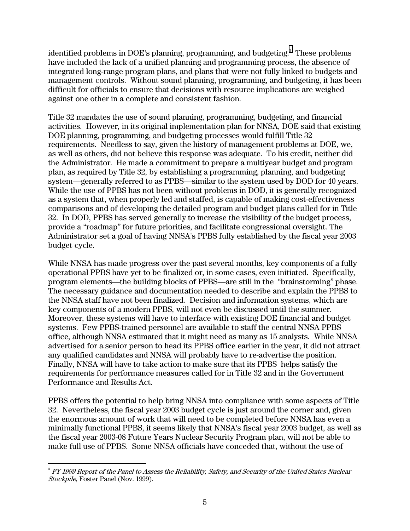identified problems in DOE's planning, programming, and budgeting. $^{\mathrm{3}}$  These problems have included the lack of a unified planning and programming process, the absence of integrated long-range program plans, and plans that were not fully linked to budgets and management controls. Without sound planning, programming, and budgeting, it has been difficult for officials to ensure that decisions with resource implications are weighed against one other in a complete and consistent fashion.

Title 32 mandates the use of sound planning, programming, budgeting, and financial activities. However, in its original implementation plan for NNSA, DOE said that existing DOE planning, programming, and budgeting processes would fulfill Title 32 requirements. Needless to say, given the history of management problems at DOE, we, as well as others, did not believe this response was adequate. To his credit, neither did the Administrator. He made a commitment to prepare a multiyear budget and program plan, as required by Title 32, by establishing a programming, planning, and budgeting system—generally referred to as PPBS—similar to the system used by DOD for 40 years. While the use of PPBS has not been without problems in DOD, it is generally recognized as a system that, when properly led and staffed, is capable of making cost-effectiveness comparisons and of developing the detailed program and budget plans called for in Title 32. In DOD, PPBS has served generally to increase the visibility of the budget process, provide a "roadmap" for future priorities, and facilitate congressional oversight. The Administrator set a goal of having NNSA's PPBS fully established by the fiscal year 2003 budget cycle.

While NNSA has made progress over the past several months, key components of a fully operational PPBS have yet to be finalized or, in some cases, even initiated. Specifically, program elements—the building blocks of PPBS—are still in the "brainstorming" phase. The necessary guidance and documentation needed to describe and explain the PPBS to the NNSA staff have not been finalized. Decision and information systems, which are key components of a modern PPBS, will not even be discussed until the summer. Moreover, these systems will have to interface with existing DOE financial and budget systems. Few PPBS-trained personnel are available to staff the central NNSA PPBS office, although NNSA estimated that it might need as many as 15 analysts. While NNSA advertised for a senior person to head its PPBS office earlier in the year, it did not attract any qualified candidates and NNSA will probably have to re-advertise the position. Finally, NNSA will have to take action to make sure that its PPBS helps satisfy the requirements for performance measures called for in Title 32 and in the Government Performance and Results Act.

PPBS offers the potential to help bring NNSA into compliance with some aspects of Title 32. Nevertheless, the fiscal year 2003 budget cycle is just around the corner and, given the enormous amount of work that will need to be completed before NNSA has even a minimally functional PPBS, it seems likely that NNSA's fiscal year 2003 budget, as well as the fiscal year 2003-08 Future Years Nuclear Security Program plan, will not be able to make full use of PPBS. Some NNSA officials have conceded that, without the use of

 $3$  FY 1999 Report of the Panel to Assess the Reliability, Safety, and Security of the United States Nuclear Stockpile, Foster Panel (Nov. 1999).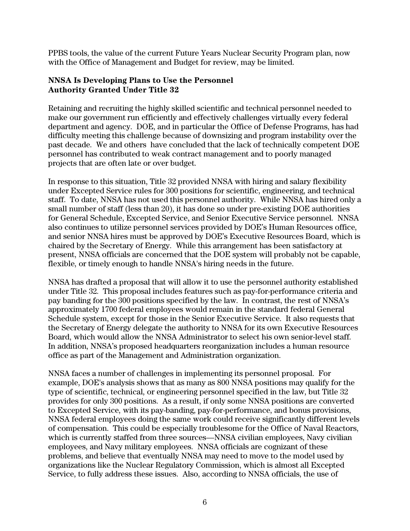PPBS tools, the value of the current Future Years Nuclear Security Program plan, now with the Office of Management and Budget for review, may be limited.

## **NNSA Is Developing Plans to Use the Personnel Authority Granted Under Title 32**

Retaining and recruiting the highly skilled scientific and technical personnel needed to make our government run efficiently and effectively challenges virtually every federal department and agency. DOE, and in particular the Office of Defense Programs, has had difficulty meeting this challenge because of downsizing and program instability over the past decade. We and others have concluded that the lack of technically competent DOE personnel has contributed to weak contract management and to poorly managed projects that are often late or over budget.

In response to this situation, Title 32 provided NNSA with hiring and salary flexibility under Excepted Service rules for 300 positions for scientific, engineering, and technical staff. To date, NNSA has not used this personnel authority. While NNSA has hired only a small number of staff (less than 20), it has done so under pre-existing DOE authorities for General Schedule, Excepted Service, and Senior Executive Service personnel. NNSA also continues to utilize personnel services provided by DOE's Human Resources office, and senior NNSA hires must be approved by DOE's Executive Resources Board, which is chaired by the Secretary of Energy. While this arrangement has been satisfactory at present, NNSA officials are concerned that the DOE system will probably not be capable, flexible, or timely enough to handle NNSA's hiring needs in the future.

NNSA has drafted a proposal that will allow it to use the personnel authority established under Title 32. This proposal includes features such as pay-for-performance criteria and pay banding for the 300 positions specified by the law. In contrast, the rest of NNSA's approximately 1700 federal employees would remain in the standard federal General Schedule system, except for those in the Senior Executive Service. It also requests that the Secretary of Energy delegate the authority to NNSA for its own Executive Resources Board, which would allow the NNSA Administrator to select his own senior-level staff. In addition, NNSA's proposed headquarters reorganization includes a human resource office as part of the Management and Administration organization.

NNSA faces a number of challenges in implementing its personnel proposal. For example, DOE's analysis shows that as many as 800 NNSA positions may qualify for the type of scientific, technical, or engineering personnel specified in the law, but Title 32 provides for only 300 positions. As a result, if only some NNSA positions are converted to Excepted Service, with its pay-banding, pay-for-performance, and bonus provisions, NNSA federal employees doing the same work could receive significantly different levels of compensation. This could be especially troublesome for the Office of Naval Reactors, which is currently staffed from three sources—NNSA civilian employees, Navy civilian employees, and Navy military employees. NNSA officials are cognizant of these problems, and believe that eventually NNSA may need to move to the model used by organizations like the Nuclear Regulatory Commission, which is almost all Excepted Service, to fully address these issues. Also, according to NNSA officials, the use of